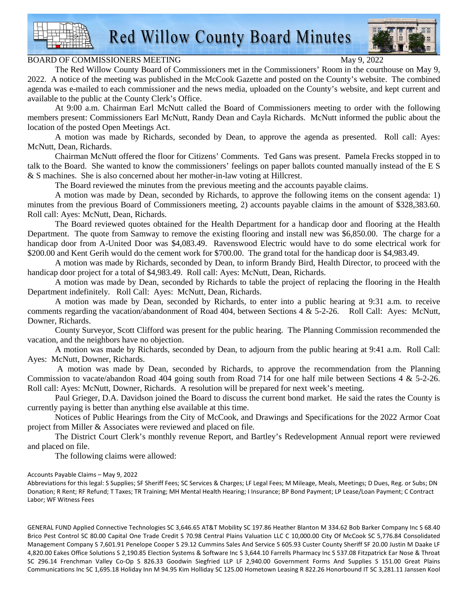

**Red Willow County Board Minutes** 

## BOARD OF COMMISSIONERS MEETING May 9, 2022

The Red Willow County Board of Commissioners met in the Commissioners' Room in the courthouse on May 9, 2022. A notice of the meeting was published in the McCook Gazette and posted on the County's website. The combined agenda was e-mailed to each commissioner and the news media, uploaded on the County's website, and kept current and available to the public at the County Clerk's Office.

At 9:00 a.m. Chairman Earl McNutt called the Board of Commissioners meeting to order with the following members present: Commissioners Earl McNutt, Randy Dean and Cayla Richards. McNutt informed the public about the location of the posted Open Meetings Act.

A motion was made by Richards, seconded by Dean, to approve the agenda as presented. Roll call: Ayes: McNutt, Dean, Richards.

Chairman McNutt offered the floor for Citizens' Comments. Ted Gans was present. Pamela Frecks stopped in to talk to the Board. She wanted to know the commissioners' feelings on paper ballots counted manually instead of the E S & S machines. She is also concerned about her mother-in-law voting at Hillcrest.

The Board reviewed the minutes from the previous meeting and the accounts payable claims.

A motion was made by Dean, seconded by Richards, to approve the following items on the consent agenda: 1) minutes from the previous Board of Commissioners meeting, 2) accounts payable claims in the amount of \$328,383.60. Roll call: Ayes: McNutt, Dean, Richards.

The Board reviewed quotes obtained for the Health Department for a handicap door and flooring at the Health Department. The quote from Samway to remove the existing flooring and install new was \$6,850.00. The charge for a handicap door from A-United Door was \$4,083.49. Ravenswood Electric would have to do some electrical work for \$200.00 and Kent Gerih would do the cement work for \$700.00. The grand total for the handicap door is \$4,983.49.

A motion was made by Richards, seconded by Dean, to inform Brandy Bird, Health Director, to proceed with the handicap door project for a total of \$4,983.49. Roll call: Ayes: McNutt, Dean, Richards.

A motion was made by Dean, seconded by Richards to table the project of replacing the flooring in the Health Department indefinitely. Roll Call: Ayes: McNutt, Dean, Richards.

A motion was made by Dean, seconded by Richards, to enter into a public hearing at 9:31 a.m. to receive comments regarding the vacation/abandonment of Road 404, between Sections 4 & 5-2-26. Roll Call: Ayes: McNutt, Downer, Richards.

 County Surveyor, Scott Clifford was present for the public hearing. The Planning Commission recommended the vacation, and the neighbors have no objection.

A motion was made by Richards, seconded by Dean, to adjourn from the public hearing at 9:41 a.m. Roll Call: Ayes: McNutt, Downer, Richards.

 A motion was made by Dean, seconded by Richards, to approve the recommendation from the Planning Commission to vacate/abandon Road 404 going south from Road 714 for one half mile between Sections 4 & 5-2-26. Roll call: Ayes: McNutt, Downer, Richards. A resolution will be prepared for next week's meeting.

Paul Grieger, D.A. Davidson joined the Board to discuss the current bond market. He said the rates the County is currently paying is better than anything else available at this time.

Notices of Public Hearings from the City of McCook, and Drawings and Specifications for the 2022 Armor Coat project from Miller & Associates were reviewed and placed on file.

The District Court Clerk's monthly revenue Report, and Bartley's Redevelopment Annual report were reviewed and placed on file.

The following claims were allowed:

## Accounts Payable Claims – May 9, 2022

Abbreviations for this legal: S Supplies; SF Sheriff Fees; SC Services & Charges; LF Legal Fees; M Mileage, Meals, Meetings; D Dues, Reg. or Subs; DN Donation; R Rent; RF Refund; T Taxes; TR Training; MH Mental Health Hearing; I Insurance; BP Bond Payment; LP Lease/Loan Payment; C Contract Labor; WF Witness Fees

GENERAL FUND Applied Connective Technologies SC 3,646.65 AT&T Mobility SC 197.86 Heather Blanton M 334.62 Bob Barker Company Inc S 68.40 Brico Pest Control SC 80.00 Capital One Trade Credit S 70.98 Central Plains Valuation LLC C 10,000.00 City Of McCook SC 5,776.84 Consolidated Management Company S 7,601.91 Penelope Cooper S 29.12 Cummins Sales And Service S 605.93 Custer County Sheriff SF 20.00 Justin M Daake LF 4,820.00 Eakes Office Solutions S 2,190.85 Election Systems & Software Inc S 3,644.10 Farrells Pharmacy Inc S 537.08 Fitzpatrick Ear Nose & Throat SC 296.14 Frenchman Valley Co-Op S 826.33 Goodwin Siegfried LLP LF 2,940.00 Government Forms And Supplies S 151.00 Great Plains Communications Inc SC 1,695.18 Holiday Inn M 94.95 Kim Holliday SC 125.00 Hometown Leasing R 822.26 Honorbound IT SC 3,281.11 Janssen Kool